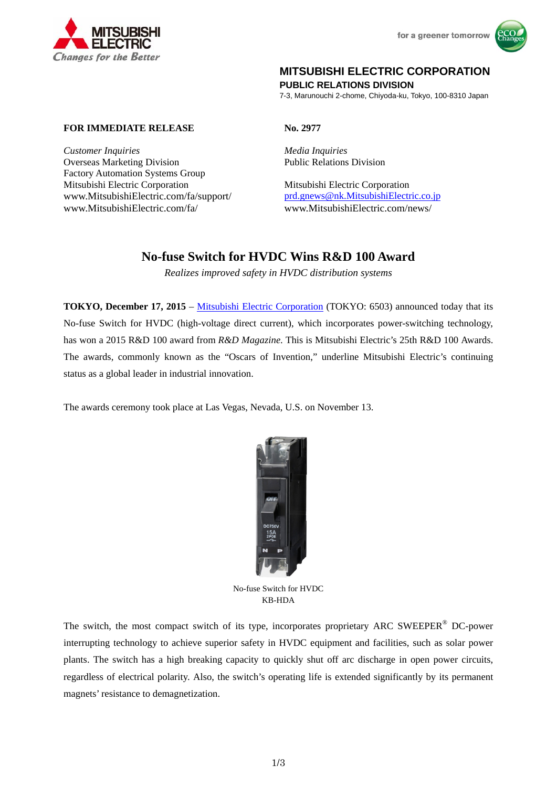



## **MITSUBISHI ELECTRIC CORPORATION**

**PUBLIC RELATIONS DIVISION** 

7-3, Marunouchi 2-chome, Chiyoda-ku, Tokyo, 100-8310 Japan

## **FOR IMMEDIATE RELEASE No. 2977**

*Customer Inquiries Media Inquiries*  Overseas Marketing Division Factory Automation Systems Group Mitsubishi Electric Corporation Mitsubishi Electric Corporation www.MitsubishiElectric.com/fa/support/ prd.gnews@nk.MitsubishiElectric.co.jp www.MitsubishiElectric.com/fa/ www.MitsubishiElectric.com/news/

Public Relations Division

# **No-fuse Switch for HVDC Wins R&D 100 Award**

*Realizes improved safety in HVDC distribution systems* 

**TOKYO, December 17, 2015** – Mitsubishi Electric Corporation (TOKYO: 6503) announced today that its No-fuse Switch for HVDC (high-voltage direct current), which incorporates power-switching technology, has won a 2015 R&D 100 award from *R&D Magazine*. This is Mitsubishi Electric's 25th R&D 100 Awards. The awards, commonly known as the "Oscars of Invention," underline Mitsubishi Electric's continuing status as a global leader in industrial innovation.

The awards ceremony took place at Las Vegas, Nevada, U.S. on November 13.



No-fuse Switch for HVDC KB-HDA

The switch, the most compact switch of its type, incorporates proprietary ARC SWEEPER<sup>®</sup> DC-power interrupting technology to achieve superior safety in HVDC equipment and facilities, such as solar power plants. The switch has a high breaking capacity to quickly shut off arc discharge in open power circuits, regardless of electrical polarity. Also, the switch's operating life is extended significantly by its permanent magnets' resistance to demagnetization.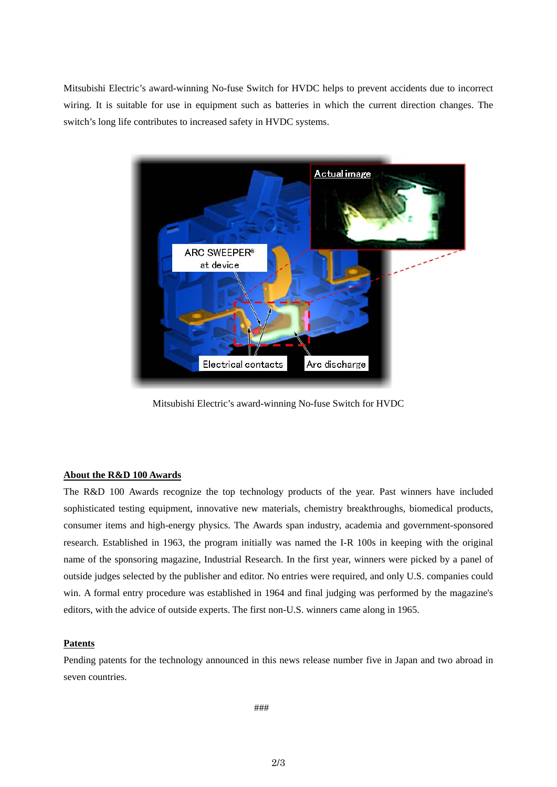Mitsubishi Electric's award-winning No-fuse Switch for HVDC helps to prevent accidents due to incorrect wiring. It is suitable for use in equipment such as batteries in which the current direction changes. The switch's long life contributes to increased safety in HVDC systems.



Mitsubishi Electric's award-winning No-fuse Switch for HVDC

### **About the R&D 100 Awards**

The R&D 100 Awards recognize the top technology products of the year. Past winners have included sophisticated testing equipment, innovative new materials, chemistry breakthroughs, biomedical products, consumer items and high-energy physics. The Awards span industry, academia and government-sponsored research. Established in 1963, the program initially was named the I-R 100s in keeping with the original name of the sponsoring magazine, Industrial Research. In the first year, winners were picked by a panel of outside judges selected by the publisher and editor. No entries were required, and only U.S. companies could win. A formal entry procedure was established in 1964 and final judging was performed by the magazine's editors, with the advice of outside experts. The first non-U.S. winners came along in 1965.

## **Patents**

Pending patents for the technology announced in this news release number five in Japan and two abroad in seven countries.